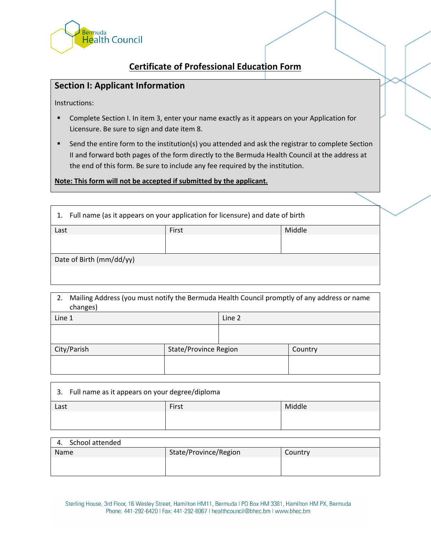

## **Certificate of Professional Education Form**

## **Section I: Applicant Information**

Instructions:

- Complete Section I. In item 3, enter your name exactly as it appears on your Application for Licensure. Be sure to sign and date item 8.
- **EXECT** Send the entire form to the institution(s) you attended and ask the registrar to complete Section II and forward both pages of the form directly to the Bermuda Health Council at the address at the end of this form. Be sure to include any fee required by the institution.

**Note: This form will not be accepted if submitted by the applicant.**

| Full name (as it appears on your application for licensure) and date of birth<br>1. |       |        |
|-------------------------------------------------------------------------------------|-------|--------|
| Last                                                                                | First | Middle |
|                                                                                     |       |        |
|                                                                                     |       |        |
| Date of Birth (mm/dd/yy)                                                            |       |        |
|                                                                                     |       |        |

| Mailing Address (you must notify the Bermuda Health Council promptly of any address or name<br>2.<br>changes) |                       |        |         |
|---------------------------------------------------------------------------------------------------------------|-----------------------|--------|---------|
| Line 1                                                                                                        |                       | Line 2 |         |
|                                                                                                               |                       |        |         |
| City/Parish                                                                                                   | State/Province Region |        | Country |
|                                                                                                               |                       |        |         |

| 3. Full name as it appears on your degree/diploma |       |        |
|---------------------------------------------------|-------|--------|
| Last                                              | First | Middle |
|                                                   |       |        |
|                                                   |       |        |

| School attended<br>4. |                       |         |
|-----------------------|-----------------------|---------|
| Name                  | State/Province/Region | Country |
|                       |                       |         |
|                       |                       |         |

Sterling House, 3rd Floor, 16 Wesley Street, Hamilton HM11, Bermuda I PO Box HM 3381, Hamilton HM PX, Bermuda Phone: 441-292-6420 | Fax: 441-292-8067 | healthcouncil@bhec.bm | www.bhec.bm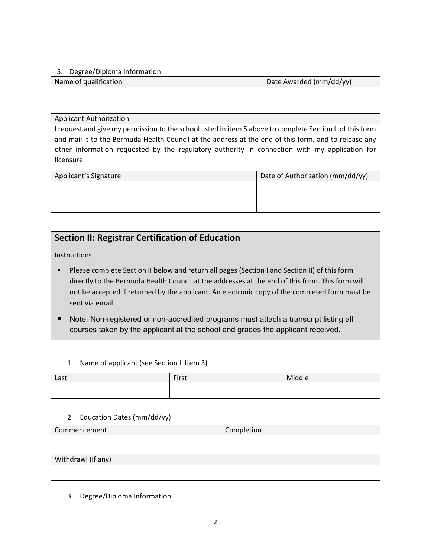| 5. Degree/Diploma Information |                         |
|-------------------------------|-------------------------|
| Name of qualification         | Date Awarded (mm/dd/yy) |
|                               |                         |
|                               |                         |

## Applicant Authorization

I request and give my permission to the school listed in item 5 above to complete Section II of this form and mail it to the Bermuda Health Council at the address at the end of this form, and to release any other information requested by the regulatory authority in connection with my application for licensure.

| Applicant's Signature | Date of Authorization (mm/dd/yy) |
|-----------------------|----------------------------------|
|                       |                                  |
|                       |                                  |
|                       |                                  |

## **Section II: Registrar Certification of Education**

Instructions:

- Please complete Section II below and return all pages (Section I and Section II) of this form directly to the Bermuda Health Council at the addresses at the end of this form. This form will not be accepted if returned by the applicant. An electronic copy of the completed form must be sent via email.
- Note: Non-registered or non-accredited programs must attach a transcript listing all courses taken by the applicant at the school and grades the applicant received.

| 1. Name of applicant (see Section I, Item 3) |       |        |
|----------------------------------------------|-------|--------|
| Last                                         | First | Middle |
|                                              |       |        |
|                                              |       |        |

| 2. Education Dates (mm/dd/yy) |            |
|-------------------------------|------------|
| Commencement                  | Completion |
|                               |            |
|                               |            |
| Withdrawl (if any)            |            |
|                               |            |
|                               |            |

3. Degree/Diploma Information